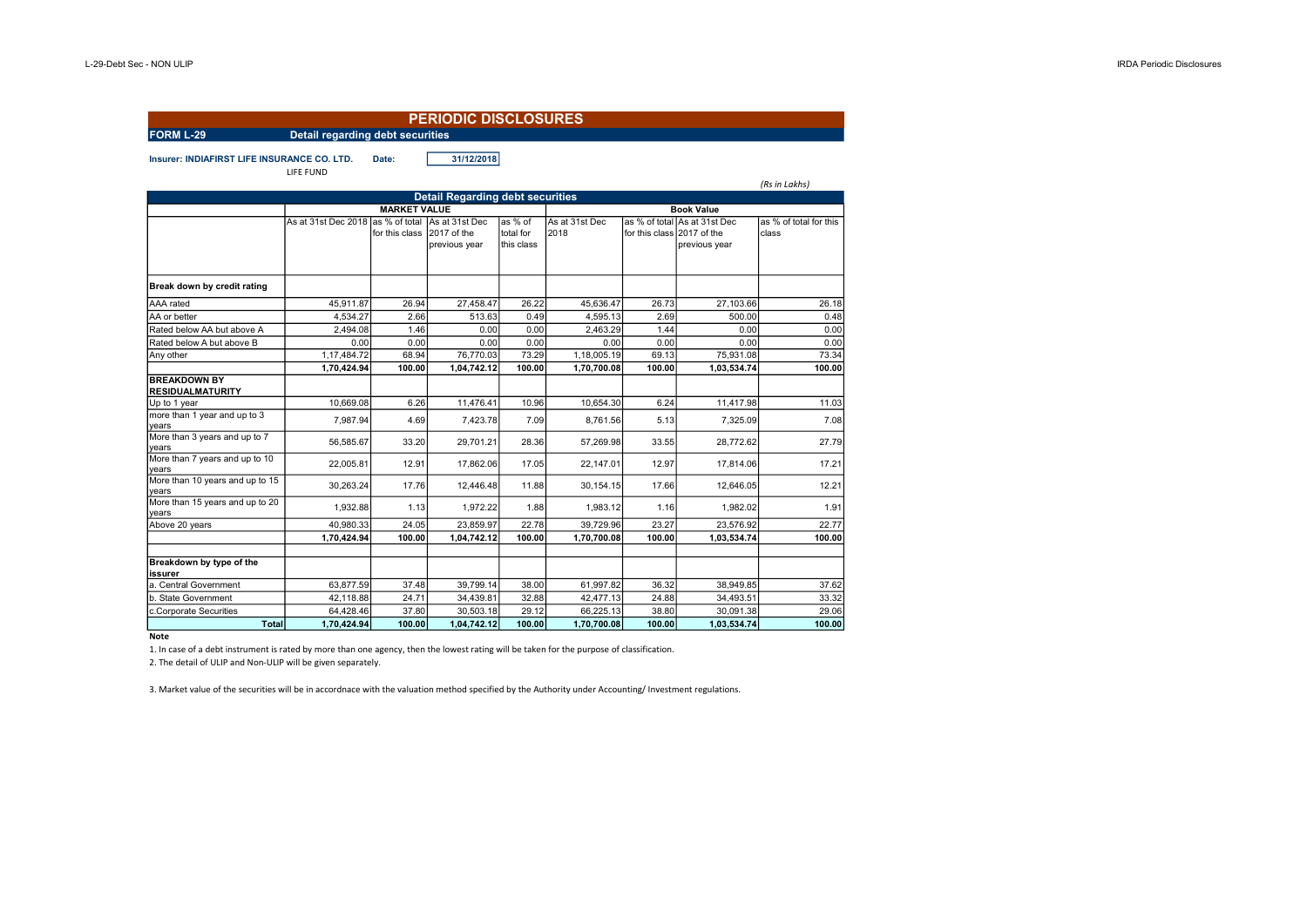|                                                |                                         |                     | <b>PERIODIC DISCLOSURES</b>                    |                                    |                        |                |                                                              |                                 |
|------------------------------------------------|-----------------------------------------|---------------------|------------------------------------------------|------------------------------------|------------------------|----------------|--------------------------------------------------------------|---------------------------------|
| <b>FORM L-29</b>                               | <b>Detail regarding debt securities</b> |                     |                                                |                                    |                        |                |                                                              |                                 |
| Insurer: INDIAFIRST LIFE INSURANCE CO. LTD.    | LIFE FUND                               | Date:               | 31/12/2018                                     |                                    |                        |                |                                                              | (Rs in Lakhs)                   |
|                                                |                                         |                     | <b>Detail Regarding debt securities</b>        |                                    |                        |                |                                                              |                                 |
|                                                |                                         | <b>MARKET VALUE</b> |                                                |                                    |                        |                | <b>Book Value</b>                                            |                                 |
|                                                | As at 31st Dec 2018 as % of total       | for this class      | As at 31st Dec<br>2017 of the<br>previous year | as % of<br>total for<br>this class | As at 31st Dec<br>2018 | for this class | as % of total As at 31st Dec<br>2017 of the<br>previous year | as % of total for this<br>class |
| Break down by credit rating                    |                                         |                     |                                                |                                    |                        |                |                                                              |                                 |
| AAA rated                                      | 45.911.87                               | 26.94               | 27.458.47                                      | 26.22                              | 45.636.47              | 26.73          | 27.103.66                                                    | 26.18                           |
| AA or better                                   | 4,534.27                                | 2.66                | 513.63                                         | 0.49                               | 4,595.13               | 2.69           | 500.00                                                       | 0.48                            |
| Rated below AA but above A                     | 2,494.08                                | 1.46                | 0.00                                           | 0.00                               | 2,463.29               | 1.44           | 0.00                                                         | 0.00                            |
| Rated below A but above B                      | 0.00                                    | 0.00                | 0.00                                           | 0.00                               | 0.00                   | 0.00           | 0.00                                                         | 0.00                            |
| Any other                                      | 1.17.484.72                             | 68.94               | 76,770.03                                      | 73.29                              | 1.18.005.19            | 69.13          | 75,931.08                                                    | 73.34                           |
|                                                | 1,70,424.94                             | 100.00              | 1,04,742.12                                    | 100.00                             | 1,70,700.08            | 100.00         | 1,03,534.74                                                  | 100.00                          |
| <b>BREAKDOWN BY</b><br><b>RESIDUALMATURITY</b> |                                         |                     |                                                |                                    |                        |                |                                                              |                                 |
| Up to 1 year                                   | 10.669.08                               | 6.26                | 11,476.41                                      | 10.96                              | 10.654.30              | 6.24           | 11,417.98                                                    | 11.03                           |
| more than 1 year and up to 3<br>years          | 7,987.94                                | 4.69                | 7,423.78                                       | 7.09                               | 8,761.56               | 5.13           | 7,325.09                                                     | 7.08                            |
| More than 3 years and up to 7<br>years         | 56,585.67                               | 33.20               | 29,701.21                                      | 28.36                              | 57,269.98              | 33.55          | 28,772.62                                                    | 27.79                           |
| More than 7 years and up to 10<br>years        | 22.005.81                               | 12.91               | 17.862.06                                      | 17.05                              | 22.147.01              | 12.97          | 17.814.06                                                    | 17.21                           |
| More than 10 years and up to 15<br>years       | 30,263.24                               | 17.76               | 12,446.48                                      | 11.88                              | 30,154.15              | 17.66          | 12,646.05                                                    | 12.21                           |
| More than 15 years and up to 20<br>years       | 1.932.88                                | 1.13                | 1.972.22                                       | 1.88                               | 1.983.12               | 1.16           | 1.982.02                                                     | 1.91                            |
| Above 20 years                                 | 40,980.33                               | 24.05               | 23,859.97                                      | 22.78                              | 39,729.96              | 23.27          | 23,576.92                                                    | 22.77                           |
|                                                | 1,70,424.94                             | 100.00              | 1,04,742.12                                    | 100.00                             | 1,70,700.08            | 100.00         | 1,03,534.74                                                  | 100.00                          |
| Breakdown by type of the<br>issurer            |                                         |                     |                                                |                                    |                        |                |                                                              |                                 |
| a. Central Government                          | 63,877.59                               | 37.48               | 39,799.14                                      | 38.00                              | 61,997.82              | 36.32          | 38,949.85                                                    | 37.62                           |
| b. State Government                            | 42,118.88                               | 24.71               | 34,439.81                                      | 32.88                              | 42,477.13              | 24.88          | 34,493.51                                                    | 33.32                           |
| c.Corporate Securities                         | 64,428.46                               | 37.80               | 30,503.18                                      | 29.12                              | 66,225.13              | 38.80          | 30,091.38                                                    | 29.06                           |
| Total                                          | 1,70,424.94                             | 100.00              | 1,04,742.12                                    | 100.00                             | 1,70,700.08            | 100.00         | 1,03,534.74                                                  | 100.00                          |

## **Note**

1. In case of a debt instrument is rated by more than one agency, then the lowest rating will be taken for the purpose of classification.

2. The detail of ULIP and Non-ULIP will be given separately.

3. Market value of the securities will be in accordnace with the valuation method specified by the Authority under Accounting/ Investment regulations.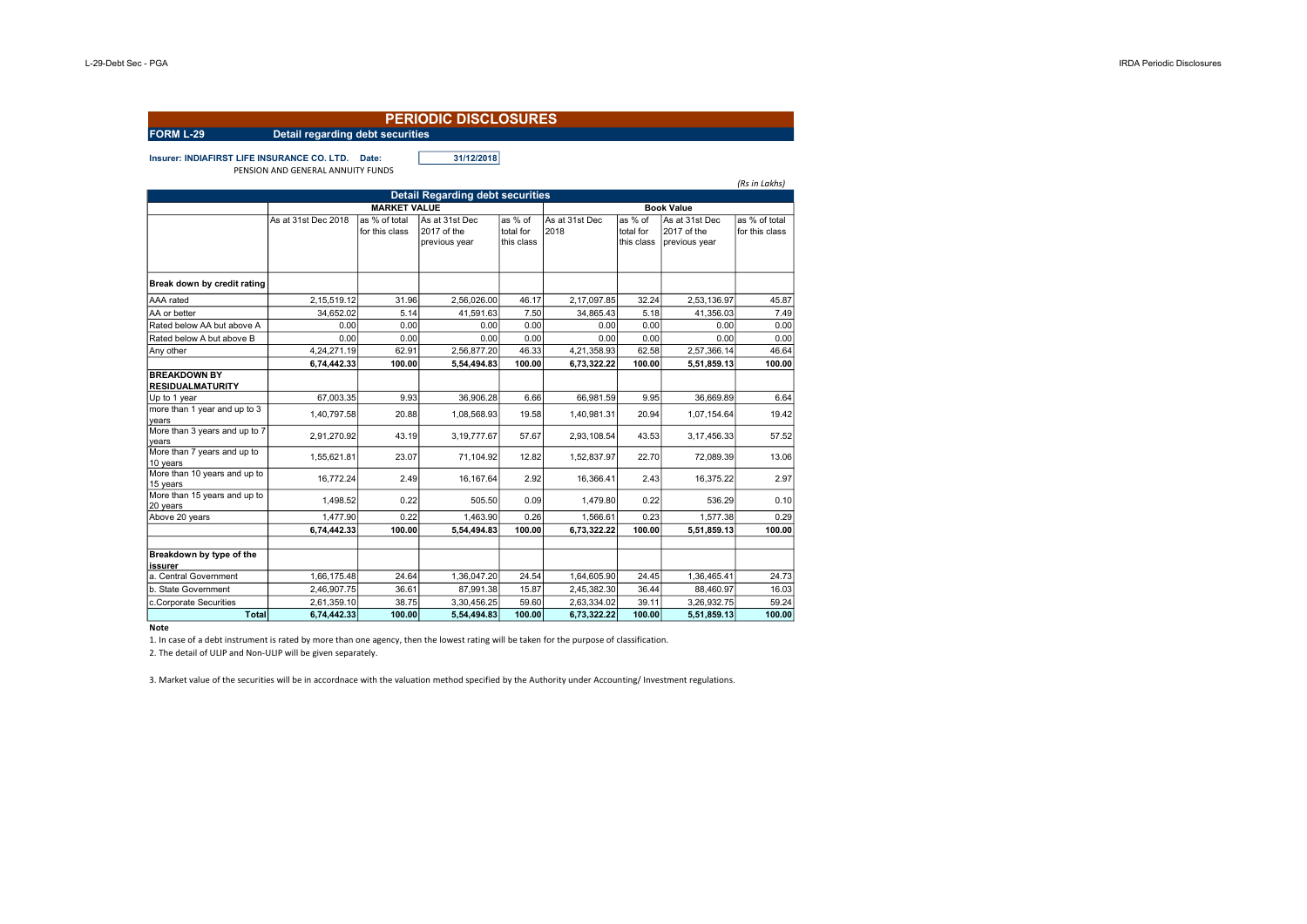| <b>PERIODIC DISCLOSURES</b>                                                                                                                                                                                                                                                                            |                                                                                                                           |                                                                             |                                                                                                                         |                                                                             |                                                                                                                           |                                                                             |                                                                                                                       |                                                                             |  |  |
|--------------------------------------------------------------------------------------------------------------------------------------------------------------------------------------------------------------------------------------------------------------------------------------------------------|---------------------------------------------------------------------------------------------------------------------------|-----------------------------------------------------------------------------|-------------------------------------------------------------------------------------------------------------------------|-----------------------------------------------------------------------------|---------------------------------------------------------------------------------------------------------------------------|-----------------------------------------------------------------------------|-----------------------------------------------------------------------------------------------------------------------|-----------------------------------------------------------------------------|--|--|
| FORM L-29                                                                                                                                                                                                                                                                                              | <b>Detail regarding debt securities</b>                                                                                   |                                                                             |                                                                                                                         |                                                                             |                                                                                                                           |                                                                             |                                                                                                                       |                                                                             |  |  |
| Insurer: INDIAFIRST LIFE INSURANCE CO. LTD.                                                                                                                                                                                                                                                            | PENSION AND GENERAL ANNUITY FUNDS                                                                                         | Date:                                                                       | 31/12/2018                                                                                                              |                                                                             |                                                                                                                           |                                                                             |                                                                                                                       | (Rs in Lakhs)                                                               |  |  |
|                                                                                                                                                                                                                                                                                                        |                                                                                                                           |                                                                             | <b>Detail Regarding debt securities</b>                                                                                 |                                                                             |                                                                                                                           |                                                                             |                                                                                                                       |                                                                             |  |  |
| <b>Book Value</b><br><b>MARKET VALUE</b>                                                                                                                                                                                                                                                               |                                                                                                                           |                                                                             |                                                                                                                         |                                                                             |                                                                                                                           |                                                                             |                                                                                                                       |                                                                             |  |  |
|                                                                                                                                                                                                                                                                                                        | As at 31st Dec 2018                                                                                                       | as % of total<br>for this class                                             | As at 31st Dec<br>2017 of the<br>previous year                                                                          | as % of<br>total for<br>this class                                          | As at 31st Dec<br>2018                                                                                                    | as % of<br>total for<br>this class                                          | As at 31st Dec<br>2017 of the<br>previous year                                                                        | as % of total<br>for this class                                             |  |  |
| Break down by credit rating                                                                                                                                                                                                                                                                            |                                                                                                                           |                                                                             |                                                                                                                         |                                                                             |                                                                                                                           |                                                                             |                                                                                                                       |                                                                             |  |  |
| AAA rated                                                                                                                                                                                                                                                                                              | 2,15,519.12                                                                                                               | 31.96                                                                       | 2,56,026.00                                                                                                             | 46.17                                                                       | 2,17,097.85                                                                                                               | 32.24                                                                       | 2,53,136.97                                                                                                           | 45.87                                                                       |  |  |
| AA or better                                                                                                                                                                                                                                                                                           | 34,652.02                                                                                                                 | 5.14                                                                        | 41,591.63                                                                                                               | 7.50                                                                        | 34,865.43                                                                                                                 | 5.18                                                                        | 41,356.03                                                                                                             | 7.49                                                                        |  |  |
| Rated below AA but above A                                                                                                                                                                                                                                                                             | 0.00                                                                                                                      | 0.00                                                                        | 0.00                                                                                                                    | 0.00                                                                        | 0.00                                                                                                                      | 0.00                                                                        | 0.00                                                                                                                  | 0.00                                                                        |  |  |
| Rated below A but above B                                                                                                                                                                                                                                                                              | 0.00                                                                                                                      | 0.00                                                                        | 0.00                                                                                                                    | 0.00                                                                        | 0.00                                                                                                                      | 0.00                                                                        | 0.00                                                                                                                  | 0.00                                                                        |  |  |
| Any other                                                                                                                                                                                                                                                                                              | 4.24.271.19                                                                                                               | 62.91                                                                       | 2.56.877.20                                                                                                             | 46.33                                                                       | 4.21.358.93                                                                                                               | 62.58                                                                       | 2,57,366.14                                                                                                           | 46.64                                                                       |  |  |
| <b>BREAKDOWN BY</b><br><b>RESIDUALMATURITY</b><br>Up to 1 year<br>more than 1 year and up to 3<br>years<br>More than 3 years and up to 7<br>vears<br>More than 7 years and up to<br>10 years<br>More than 10 years and up to<br>15 years<br>More than 15 years and up to<br>20 years<br>Above 20 years | 6,74,442.33<br>67.003.35<br>1,40,797.58<br>2,91,270.92<br>1.55.621.81<br>16.772.24<br>1,498.52<br>1.477.90<br>6,74,442.33 | 100.00<br>9.93<br>20.88<br>43.19<br>23.07<br>2.49<br>0.22<br>0.22<br>100.00 | 5,54,494.83<br>36.906.28<br>1,08,568.93<br>3, 19, 777.67<br>71.104.92<br>16,167.64<br>505.50<br>1.463.90<br>5,54,494.83 | 100.00<br>6.66<br>19.58<br>57.67<br>12.82<br>2.92<br>0.09<br>0.26<br>100.00 | 6,73,322.22<br>66.981.59<br>1.40.981.31<br>2,93,108.54<br>1.52.837.97<br>16.366.41<br>1,479.80<br>1.566.61<br>6,73,322.22 | 100.00<br>9.95<br>20.94<br>43.53<br>22.70<br>2.43<br>0.22<br>0.23<br>100.00 | 5,51,859.13<br>36.669.89<br>1,07,154.64<br>3,17,456.33<br>72.089.39<br>16,375.22<br>536.29<br>1.577.38<br>5,51,859.13 | 100.00<br>6.64<br>19.42<br>57.52<br>13.06<br>2.97<br>0.10<br>0.29<br>100.00 |  |  |
| Breakdown by type of the<br>issurer<br>a. Central Government<br>b. State Government<br>c.Corporate Securities<br><b>Total</b>                                                                                                                                                                          | 1,66,175.48<br>2,46,907.75<br>2,61,359.10<br>6,74,442.33                                                                  | 24.64<br>36.61<br>38.75<br>100.00                                           | 1,36,047.20<br>87,991.38<br>3,30,456.25<br>5,54,494.83                                                                  | 24.54<br>15.87<br>59.60<br>100.00                                           | 1,64,605.90<br>2,45,382.30<br>2,63,334.02<br>6,73,322.22                                                                  | 24.45<br>36.44<br>39.11<br>100.00                                           | 1,36,465.41<br>88,460.97<br>3,26,932.75<br>5,51,859.13                                                                | 24.73<br>16.03<br>59.24<br>100.00                                           |  |  |

## **Note**

1. In case of a debt instrument is rated by more than one agency, then the lowest rating will be taken for the purpose of classification.

2. The detail of ULIP and Non-ULIP will be given separately.

3. Market value of the securities will be in accordnace with the valuation method specified by the Authority under Accounting/ Investment regulations.